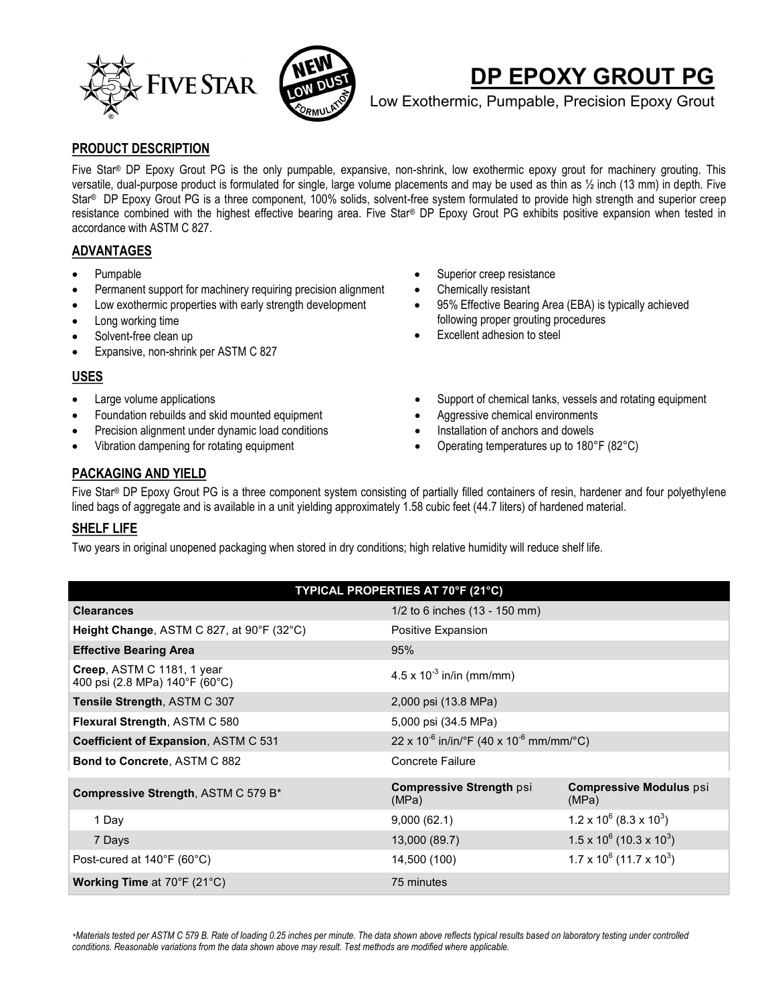



# **DP EPOXY GROUT PG**

Low Exothermic, Pumpable, Precision Epoxy Grout

## **PRODUCT DESCRIPTION**

Five Star® DP Epoxy Grout PG is the only pumpable, expansive, non-shrink, low exothermic epoxy grout for machinery grouting. This versatile, dual-purpose product is formulated for single, large volume placements and may be used as thin as ½ inch (13 mm) in depth. Five Star® DP Epoxy Grout PG is a three component, 100% solids, solvent-free system formulated to provide high strength and superior creep resistance combined with the highest effective bearing area. Five Star® DP Epoxy Grout PG exhibits positive expansion when tested in accordance with ASTM C 827.

## **ADVANTAGES**

- Pumpable
- Permanent support for machinery requiring precision alignment
- Low exothermic properties with early strength development
- Long working time
- Solvent-free clean up
- Expansive, non-shrink per ASTM C 827

## **USES**

- Large volume applications
- Foundation rebuilds and skid mounted equipment
- Precision alignment under dynamic load conditions
- Vibration dampening for rotating equipment
- Superior creep resistance
- Chemically resistant
- 95% Effective Bearing Area (EBA) is typically achieved following proper grouting procedures
- Excellent adhesion to steel
- Support of chemical tanks, vessels and rotating equipment
- Aggressive chemical environments
- Installation of anchors and dowels
- Operating temperatures up to 180°F (82°C)

# **PACKAGING AND YIELD**

Five Star® DP Epoxy Grout PG is a three component system consisting of partially filled containers of resin, hardener and four polyethylene lined bags of aggregate and is available in a unit yielding approximately 1.58 cubic feet (44.7 liters) of hardened material.

# **SHELF LIFE**

Two years in original unopened packaging when stored in dry conditions; high relative humidity will reduce shelf life.

| TYPICAL PROPERTIES AT 70°F (21°C)                            |                                                               |                                             |  |  |
|--------------------------------------------------------------|---------------------------------------------------------------|---------------------------------------------|--|--|
| <b>Clearances</b>                                            | $1/2$ to 6 inches $(13 - 150 \text{ mm})$                     |                                             |  |  |
| Height Change, ASTM C 827, at 90°F (32°C)                    | Positive Expansion                                            |                                             |  |  |
| <b>Effective Bearing Area</b>                                | 95%                                                           |                                             |  |  |
| Creep, ASTM C 1181, 1 year<br>400 psi (2.8 MPa) 140°F (60°C) | $4.5 \times 10^{-3}$ in/in (mm/mm)                            |                                             |  |  |
| Tensile Strength, ASTM C 307                                 | 2,000 psi (13.8 MPa)                                          |                                             |  |  |
| Flexural Strength, ASTM C 580                                | 5,000 psi (34.5 MPa)                                          |                                             |  |  |
| Coefficient of Expansion, ASTM C 531                         | $22 \times 10^{-6}$ in/in/°F (40 x 10 <sup>-6</sup> mm/mm/°C) |                                             |  |  |
| <b>Bond to Concrete, ASTM C 882</b>                          | Concrete Failure                                              |                                             |  |  |
| Compressive Strength, ASTM C 579 B*                          | <b>Compressive Strength psi</b><br>(MPa)                      | <b>Compressive Modulus psi</b><br>(MPa)     |  |  |
| 1 Day                                                        | 9,000(62.1)                                                   | $1.2 \times 10^6$ (8.3 x 10 <sup>3</sup> )  |  |  |
| 7 Days                                                       | 13,000 (89.7)                                                 | $1.5 \times 10^6$ (10.3 x 10 <sup>3</sup> ) |  |  |
| Post-cured at 140°F (60°C)                                   | 14,500 (100)                                                  | $1.7 \times 10^6$ (11.7 x 10 <sup>3</sup> ) |  |  |
| Working Time at 70°F (21°C)                                  | 75 minutes                                                    |                                             |  |  |

*\*Materials tested per ASTM C 579 B. Rate of loading 0.25 inches per minute. The data shown above reflects typical results based on laboratory testing under controlled conditions. Reasonable variations from the data shown above may result. Test methods are modified where applicable.*